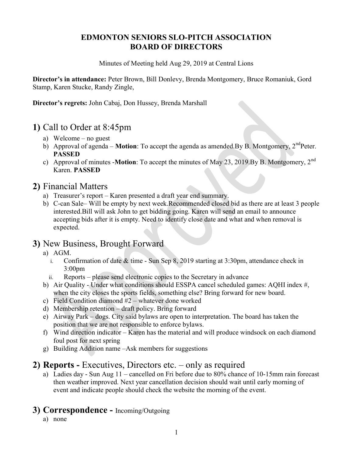## EDMONTON SENIORS SLO-PITCH ASSOCIATION BOARD OF DIRECTORS

Minutes of Meeting held Aug 29, 2019 at Central Lions

Director's in attendance: Peter Brown, Bill Donlevy, Brenda Montgomery, Bruce Romaniuk, Gord Stamp, Karen Stucke, Randy Zingle,

Director's regrets: John Cabaj, Don Hussey, Brenda Marshall

# 1) Call to Order at 8:45pm

- a) Welcome no guest
- b) Approval of agenda **Motion**: To accept the agenda as amended.By B. Montgomery,  $2^{nd}$ Peter. PASSED
- c) Approval of minutes -**Motion**: To accept the minutes of May 23, 2019.By B. Montgomery, 2<sup>nd</sup> Karen. PASSED

# 2) Financial Matters

- a) Treasurer's report Karen presented a draft year end summary.
- b) C-can Sale– Will be empty by next week.Recommended closed bid as there are at least 3 people interested.Bill will ask John to get bidding going. Karen will send an email to announce accepting bids after it is empty. Need to identify close date and what and when removal is expected.

## 3) New Business, Brought Forward

- a) AGM.
	- i. Confirmation of date & time Sun Sep 8, 2019 starting at 3:30pm, attendance check in 3:00pm
	- ii. Reports please send electronic copies to the Secretary in advance
- b) Air Quality Under what conditions should ESSPA cancel scheduled games: AQHI index #, when the city closes the sports fields, something else? Bring forward for new board.
- c) Field Condition diamond #2 whatever done worked
- d) Membership retention draft policy. Bring forward
- e) Airway Park dogs. City said bylaws are open to interpretation. The board has taken the position that we are not responsible to enforce bylaws.
- f) Wind direction indicator Karen has the material and will produce windsock on each diamond foul post for next spring
- g) Building Addition name –Ask members for suggestions

# 2) Reports - Executives, Directors etc. – only as required

a) Ladies day - Sun Aug 11 – cancelled on Fri before due to 80% chance of 10-15mm rain forecast then weather improved. Next year cancellation decision should wait until early morning of event and indicate people should check the website the morning of the event.

## 3) Correspondence - Incoming/Outgoing

a) none